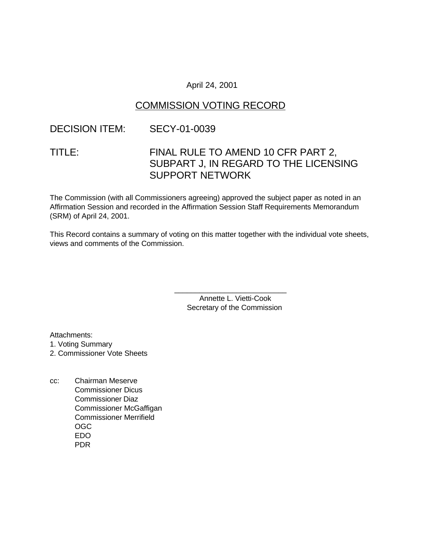### April 24, 2001

# COMMISSION VOTING RECORD

## DECISION ITEM: SECY-01-0039

# TITLE: FINAL RULE TO AMEND 10 CFR PART 2, SUBPART J, IN REGARD TO THE LICENSING SUPPORT NETWORK

The Commission (with all Commissioners agreeing) approved the subject paper as noted in an Affirmation Session and recorded in the Affirmation Session Staff Requirements Memorandum (SRM) of April 24, 2001.

This Record contains a summary of voting on this matter together with the individual vote sheets, views and comments of the Commission.

> Annette L. Vietti-Cook Secretary of the Commission

\_\_\_\_\_\_\_\_\_\_\_\_\_\_\_\_\_\_\_\_\_\_\_\_\_\_\_

Attachments:

1. Voting Summary

2. Commissioner Vote Sheets

cc: Chairman Meserve Commissioner Dicus Commissioner Diaz Commissioner McGaffigan Commissioner Merrifield OGC EDO PDR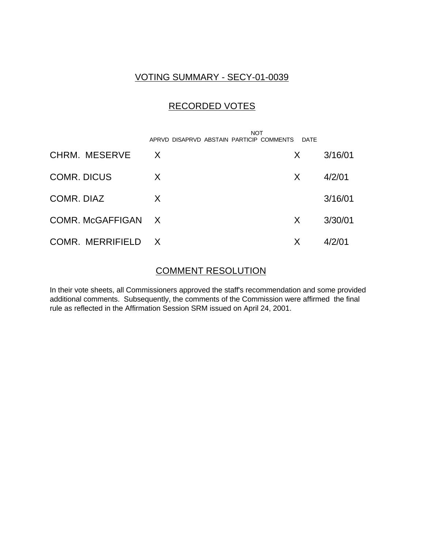# VOTING SUMMARY - SECY-01-0039

# RECORDED VOTES

|                    | APRVD DISAPRVD ABSTAIN PARTICIP COMMENTS | <b>NOT</b><br>DATE |         |
|--------------------|------------------------------------------|--------------------|---------|
| CHRM. MESERVE      | X                                        | X.                 | 3/16/01 |
| <b>COMR. DICUS</b> | X                                        | X                  | 4/2/01  |
| COMR. DIAZ         | X                                        |                    | 3/16/01 |
| COMR. McGAFFIGAN X |                                          | X.                 | 3/30/01 |
| COMR. MERRIFIELD X |                                          | X                  | 4/2/01  |

## COMMENT RESOLUTION

In their vote sheets, all Commissioners approved the staff's recommendation and some provided additional comments. Subsequently, the comments of the Commission were affirmed the final rule as reflected in the Affirmation Session SRM issued on April 24, 2001.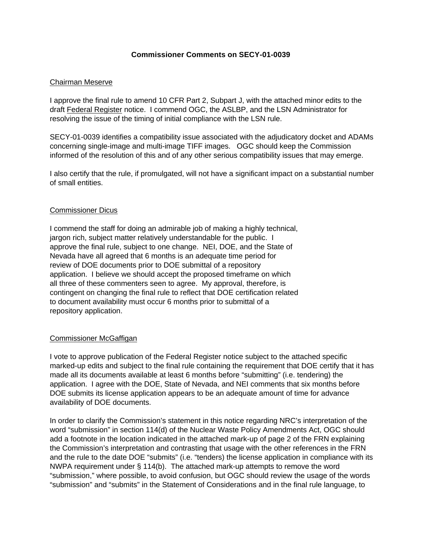#### **Commissioner Comments on SECY-01-0039**

#### Chairman Meserve

I approve the final rule to amend 10 CFR Part 2, Subpart J, with the attached minor edits to the draft Federal Register notice. I commend OGC, the ASLBP, and the LSN Administrator for resolving the issue of the timing of initial compliance with the LSN rule.

SECY-01-0039 identifies a compatibility issue associated with the adjudicatory docket and ADAMs concerning single-image and multi-image TIFF images. OGC should keep the Commission informed of the resolution of this and of any other serious compatibility issues that may emerge.

I also certify that the rule, if promulgated, will not have a significant impact on a substantial number of small entities.

#### Commissioner Dicus

I commend the staff for doing an admirable job of making a highly technical, jargon rich, subject matter relatively understandable for the public. I approve the final rule, subject to one change. NEI, DOE, and the State of Nevada have all agreed that 6 months is an adequate time period for review of DOE documents prior to DOE submittal of a repository application. I believe we should accept the proposed timeframe on which all three of these commenters seen to agree. My approval, therefore, is contingent on changing the final rule to reflect that DOE certification related to document availability must occur 6 months prior to submittal of a repository application.

#### Commissioner McGaffigan

I vote to approve publication of the Federal Register notice subject to the attached specific marked-up edits and subject to the final rule containing the requirement that DOE certify that it has made all its documents available at least 6 months before "submitting" (i.e. tendering) the application. I agree with the DOE, State of Nevada, and NEI comments that six months before DOE submits its license application appears to be an adequate amount of time for advance availability of DOE documents.

In order to clarify the Commission's statement in this notice regarding NRC's interpretation of the word "submission" in section 114(d) of the Nuclear Waste Policy Amendments Act, OGC should add a footnote in the location indicated in the attached mark-up of page 2 of the FRN explaining the Commission's interpretation and contrasting that usage with the other references in the FRN and the rule to the date DOE "submits" (i.e. "tenders) the license application in compliance with its NWPA requirement under § 114(b). The attached mark-up attempts to remove the word "submission," where possible, to avoid confusion, but OGC should review the usage of the words "submission" and "submits" in the Statement of Considerations and in the final rule language, to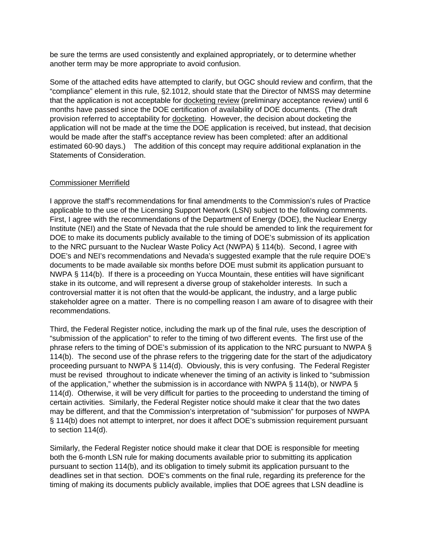be sure the terms are used consistently and explained appropriately, or to determine whether another term may be more appropriate to avoid confusion.

Some of the attached edits have attempted to clarify, but OGC should review and confirm, that the "compliance" element in this rule, §2.1012, should state that the Director of NMSS may determine that the application is not acceptable for docketing review (preliminary acceptance review) until 6 months have passed since the DOE certification of availability of DOE documents. (The draft provision referred to acceptability for docketing. However, the decision about docketing the application will not be made at the time the DOE application is received, but instead, that decision would be made after the staff's acceptance review has been completed: after an additional estimated 60-90 days.) The addition of this concept may require additional explanation in the Statements of Consideration.

#### Commissioner Merrifield

I approve the staff's recommendations for final amendments to the Commission's rules of Practice applicable to the use of the Licensing Support Network (LSN) subject to the following comments. First, I agree with the recommendations of the Department of Energy (DOE), the Nuclear Energy Institute (NEI) and the State of Nevada that the rule should be amended to link the requirement for DOE to make its documents publicly available to the timing of DOE's submission of its application to the NRC pursuant to the Nuclear Waste Policy Act (NWPA) § 114(b). Second, I agree with DOE's and NEI's recommendations and Nevada's suggested example that the rule require DOE's documents to be made available six months before DOE must submit its application pursuant to NWPA § 114(b). If there is a proceeding on Yucca Mountain, these entities will have significant stake in its outcome, and will represent a diverse group of stakeholder interests. In such a controversial matter it is not often that the would-be applicant, the industry, and a large public stakeholder agree on a matter. There is no compelling reason I am aware of to disagree with their recommendations.

Third, the Federal Register notice, including the mark up of the final rule, uses the description of "submission of the application" to refer to the timing of two different events. The first use of the phrase refers to the timing of DOE's submission of its application to the NRC pursuant to NWPA § 114(b). The second use of the phrase refers to the triggering date for the start of the adjudicatory proceeding pursuant to NWPA § 114(d). Obviously, this is very confusing. The Federal Register must be revised throughout to indicate whenever the timing of an activity is linked to "submission of the application," whether the submission is in accordance with NWPA § 114(b), or NWPA § 114(d). Otherwise, it will be very difficult for parties to the proceeding to understand the timing of certain activities. Similarly, the Federal Register notice should make it clear that the two dates may be different, and that the Commission's interpretation of "submission" for purposes of NWPA § 114(b) does not attempt to interpret, nor does it affect DOE's submission requirement pursuant to section 114(d).

Similarly, the Federal Register notice should make it clear that DOE is responsible for meeting both the 6-month LSN rule for making documents available prior to submitting its application pursuant to section 114(b), and its obligation to timely submit its application pursuant to the deadlines set in that section. DOE's comments on the final rule, regarding its preference for the timing of making its documents publicly available, implies that DOE agrees that LSN deadline is